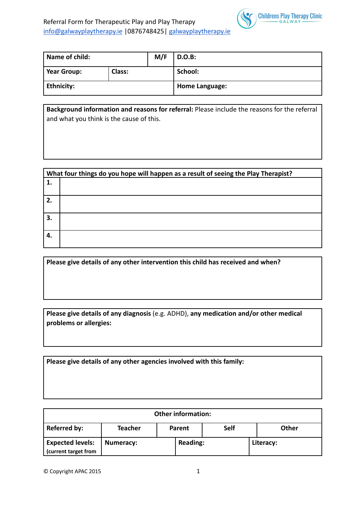

| Name of child: |        | M/F | <b>D.O.B:</b>         |
|----------------|--------|-----|-----------------------|
| Year Group:    | Class: |     | School:               |
| Ethnicity:     |        |     | <b>Home Language:</b> |

**Background information and reasons for referral:** Please include the reasons for the referral and what you think is the cause of this.

|                  | What four things do you hope will happen as a result of seeing the Play Therapist? |  |  |  |  |
|------------------|------------------------------------------------------------------------------------|--|--|--|--|
| 1.               |                                                                                    |  |  |  |  |
| 2.               |                                                                                    |  |  |  |  |
| З.               |                                                                                    |  |  |  |  |
| $\overline{4}$ . |                                                                                    |  |  |  |  |

| Please give details of any other intervention this child has received and when? |  |
|---------------------------------------------------------------------------------|--|
|                                                                                 |  |

**Please give details of any diagnosis** (e.g. ADHD), **any medication and/or other medical problems or allergies:**

**Please give details of any other agencies involved with this family:**

| <b>Other information:</b>                       |           |                 |        |      |  |              |
|-------------------------------------------------|-----------|-----------------|--------|------|--|--------------|
| <b>Referred by:</b>                             | Teacher   |                 | Parent | Self |  | <b>Other</b> |
| <b>Expected levels:</b><br>(current target from | Numeracy: | <b>Reading:</b> |        |      |  | Literacy:    |